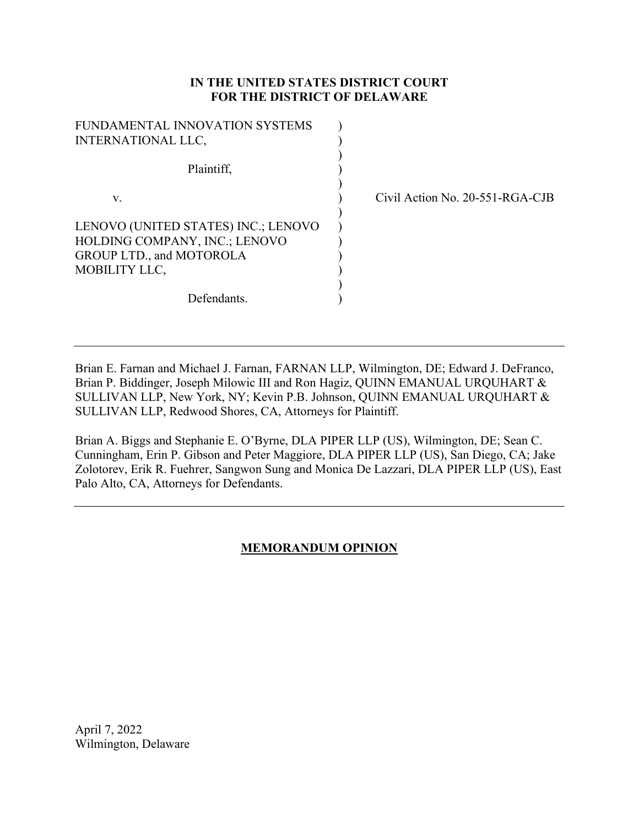## **IN THE UNITED STATES DISTRICT COURT FOR THE DISTRICT OF DELAWARE**

| FUNDAMENTAL INNOVATION SYSTEMS      |  |
|-------------------------------------|--|
| <b>INTERNATIONAL LLC,</b>           |  |
| Plaintiff,                          |  |
| V.                                  |  |
| LENOVO (UNITED STATES) INC.; LENOVO |  |
| HOLDING COMPANY, INC.; LENOVO       |  |
| GROUP LTD., and MOTOROLA            |  |
| MOBILITY LLC,                       |  |
|                                     |  |
| Defendants.                         |  |

Civil Action No. 20-551-RGA-CJB

Brian E. Farnan and Michael J. Farnan, FARNAN LLP, Wilmington, DE; Edward J. DeFranco, Brian P. Biddinger, Joseph Milowic III and Ron Hagiz, QUINN EMANUAL URQUHART & SULLIVAN LLP, New York, NY; Kevin P.B. Johnson, QUINN EMANUAL URQUHART & SULLIVAN LLP, Redwood Shores, CA, Attorneys for Plaintiff.

Brian A. Biggs and Stephanie E. O'Byrne, DLA PIPER LLP (US), Wilmington, DE; Sean C. Cunningham, Erin P. Gibson and Peter Maggiore, DLA PIPER LLP (US), San Diego, CA; Jake Zolotorev, Erik R. Fuehrer, Sangwon Sung and Monica De Lazzari, DLA PIPER LLP (US), East Palo Alto, CA, Attorneys for Defendants.

## **MEMORANDUM OPINION**

April 7, 2022 Wilmington, Delaware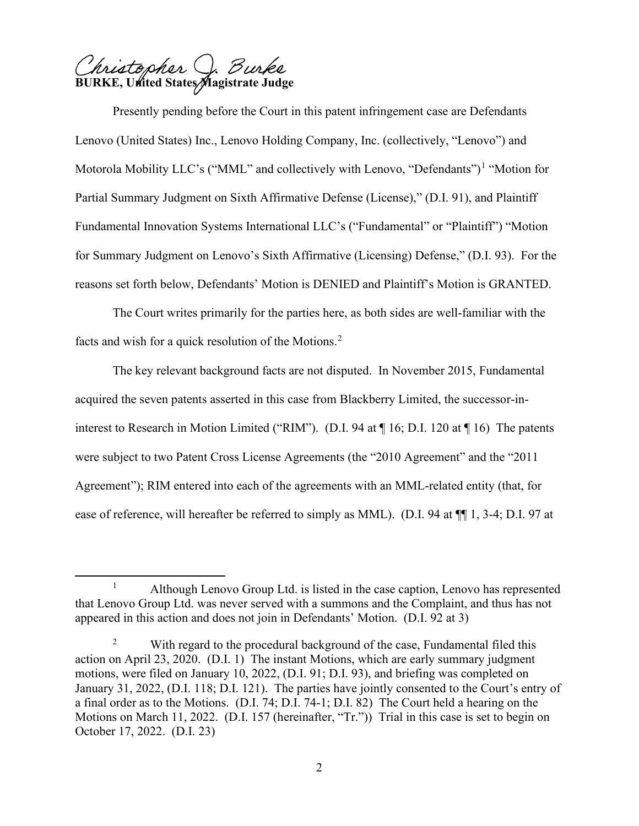). Burke hristopher **BURKE, United States Magistrate Judge** 

Presently pending before the Court in this patent infringement case are Defendants Lenovo (United States) Inc., Lenovo Holding Company, Inc. (collectively, "Lenovo") and Motorola Mobility LLC's ("MML" and collectively with Lenovo, "Defendants")<sup>1</sup> "Motion for Partial Summary Judgment on Sixth Affirmative Defense (License)," (D.I. 91), and Plaintiff Fundamental Innovation Systems International LLC's ("Fundamental" or "Plaintiff") "Motion for Summary Judgment on Lenovo's Sixth Affirmative (Licensing) Defense," (D.I. 93). For the reasons set forth below, Defendants' Motion is DENIED and Plaintiff's Motion is GRANTED.

 The Court writes primarily for the parties here, as both sides are well-familiar with the facts and wish for a quick resolution of the Motions. $2$ 

The key relevant background facts are not disputed. In November 2015, Fundamental acquired the seven patents asserted in this case from Blackberry Limited, the successor-ininterest to Research in Motion Limited ("RIM"). (D.I. 94 at ¶ 16; D.I. 120 at ¶ 16) The patents were subject to two Patent Cross License Agreements (the "2010 Agreement" and the "2011 Agreement"); RIM entered into each of the agreements with an MML-related entity (that, for ease of reference, will hereafter be referred to simply as MML). (D.I. 94 at ¶¶ 1, 3-4; D.I. 97 at

<sup>1</sup> Although Lenovo Group Ltd. is listed in the case caption, Lenovo has represented that Lenovo Group Ltd. was never served with a summons and the Complaint, and thus has not appeared in this action and does not join in Defendants' Motion. (D.I. 92 at 3)

<sup>&</sup>lt;sup>2</sup> With regard to the procedural background of the case, Fundamental filed this action on April 23, 2020. (D.I. 1) The instant Motions, which are early summary judgment motions, were filed on January 10, 2022, (D.I. 91; D.I. 93), and briefing was completed on January 31, 2022, (D.I. 118; D.I. 121). The parties have jointly consented to the Court's entry of a final order as to the Motions. (D.I. 74; D.I. 74-1; D.I. 82) The Court held a hearing on the Motions on March 11, 2022. (D.I. 157 (hereinafter, "Tr.")) Trial in this case is set to begin on October 17, 2022. (D.I. 23)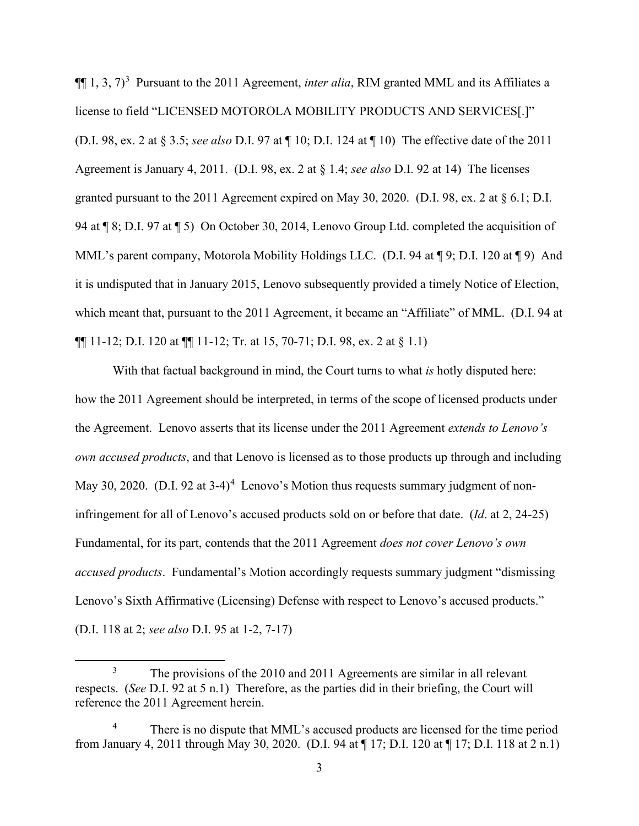$\P$ [1, 3, 7)<sup>3</sup> Pursuant to the 2011 Agreement, *inter alia*, RIM granted MML and its Affiliates a license to field "LICENSED MOTOROLA MOBILITY PRODUCTS AND SERVICES[.]" (D.I. 98, ex. 2 at § 3.5; *see also* D.I. 97 at ¶ 10; D.I. 124 at ¶ 10) The effective date of the 2011 Agreement is January 4, 2011. (D.I. 98, ex. 2 at § 1.4; *see also* D.I. 92 at 14) The licenses granted pursuant to the 2011 Agreement expired on May 30, 2020. (D.I. 98, ex. 2 at § 6.1; D.I. 94 at ¶ 8; D.I. 97 at ¶ 5) On October 30, 2014, Lenovo Group Ltd. completed the acquisition of MML's parent company, Motorola Mobility Holdings LLC. (D.I. 94 at  $\P$ 9; D.I. 120 at  $\P$ 9) And it is undisputed that in January 2015, Lenovo subsequently provided a timely Notice of Election, which meant that, pursuant to the 2011 Agreement, it became an "Affiliate" of MML. (D.I. 94 at  $\P\P$  11-12; D.I. 120 at  $\P\P$  11-12; Tr. at 15, 70-71; D.I. 98, ex. 2 at § 1.1)

With that factual background in mind, the Court turns to what *is* hotly disputed here: how the 2011 Agreement should be interpreted, in terms of the scope of licensed products under the Agreement. Lenovo asserts that its license under the 2011 Agreement *extends to Lenovo's own accused products*, and that Lenovo is licensed as to those products up through and including May 30, 2020. (D.I. 92 at 3-4)<sup>4</sup> Lenovo's Motion thus requests summary judgment of noninfringement for all of Lenovo's accused products sold on or before that date. (*Id*. at 2, 24-25) Fundamental, for its part, contends that the 2011 Agreement *does not cover Lenovo's own accused products*. Fundamental's Motion accordingly requests summary judgment "dismissing Lenovo's Sixth Affirmative (Licensing) Defense with respect to Lenovo's accused products." (D.I. 118 at 2; *see also* D.I. 95 at 1-2, 7-17)

<sup>3</sup> The provisions of the 2010 and 2011 Agreements are similar in all relevant respects. (*See* D.I. 92 at 5 n.1) Therefore, as the parties did in their briefing, the Court will reference the 2011 Agreement herein.

<sup>4</sup> There is no dispute that MML's accused products are licensed for the time period from January 4, 2011 through May 30, 2020. (D.I. 94 at ¶ 17; D.I. 120 at ¶ 17; D.I. 118 at 2 n.1)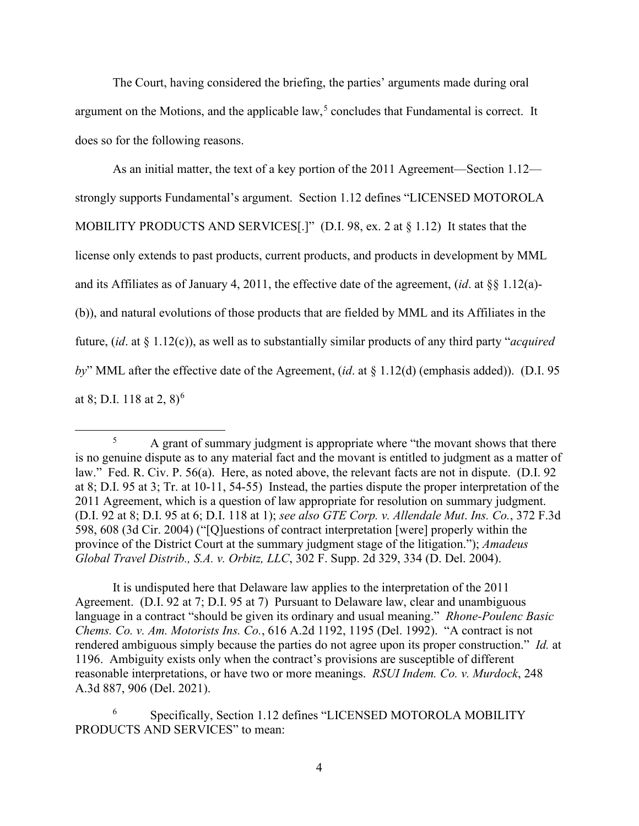The Court, having considered the briefing, the parties' arguments made during oral argument on the Motions, and the applicable  $law<sub>5</sub>$  concludes that Fundamental is correct. It does so for the following reasons.

As an initial matter, the text of a key portion of the 2011 Agreement—Section 1.12 strongly supports Fundamental's argument. Section 1.12 defines "LICENSED MOTOROLA MOBILITY PRODUCTS AND SERVICES[.]" (D.I. 98, ex. 2 at § 1.12) It states that the license only extends to past products, current products, and products in development by MML and its Affiliates as of January 4, 2011, the effective date of the agreement, (*id*. at §§ 1.12(a)- (b)), and natural evolutions of those products that are fielded by MML and its Affiliates in the future, (*id*. at § 1.12(c)), as well as to substantially similar products of any third party "*acquired by*" MML after the effective date of the Agreement, (*id*. at § 1.12(d) (emphasis added)). (D.I. 95 at 8; D.I. 118 at 2,  $8)^6$ 

It is undisputed here that Delaware law applies to the interpretation of the 2011 Agreement. (D.I. 92 at 7; D.I. 95 at 7) Pursuant to Delaware law, clear and unambiguous language in a contract "should be given its ordinary and usual meaning." *Rhone-Poulenc Basic Chems. Co. v. Am. Motorists Ins. Co.*, 616 A.2d 1192, 1195 (Del. 1992). "A contract is not rendered ambiguous simply because the parties do not agree upon its proper construction." *Id.* at 1196. Ambiguity exists only when the contract's provisions are susceptible of different reasonable interpretations, or have two or more meanings. *RSUI Indem. Co. v. Murdock*, 248 A.3d 887, 906 (Del. 2021).

<sup>&</sup>lt;sup>5</sup> A grant of summary judgment is appropriate where "the movant shows that there is no genuine dispute as to any material fact and the movant is entitled to judgment as a matter of law." Fed. R. Civ. P. 56(a). Here, as noted above, the relevant facts are not in dispute. (D.I. 92) at 8; D.I. 95 at 3; Tr. at 10-11, 54-55) Instead, the parties dispute the proper interpretation of the 2011 Agreement, which is a question of law appropriate for resolution on summary judgment. (D.I. 92 at 8; D.I. 95 at 6; D.I. 118 at 1); *see also GTE Corp. v. Allendale Mut*. *Ins. Co.*, 372 F.3d 598, 608 (3d Cir. 2004) ("[Q]uestions of contract interpretation [were] properly within the province of the District Court at the summary judgment stage of the litigation."); *Amadeus Global Travel Distrib., S.A. v. Orbitz, LLC*, 302 F. Supp. 2d 329, 334 (D. Del. 2004).

<sup>6</sup> Specifically, Section 1.12 defines "LICENSED MOTOROLA MOBILITY PRODUCTS AND SERVICES" to mean: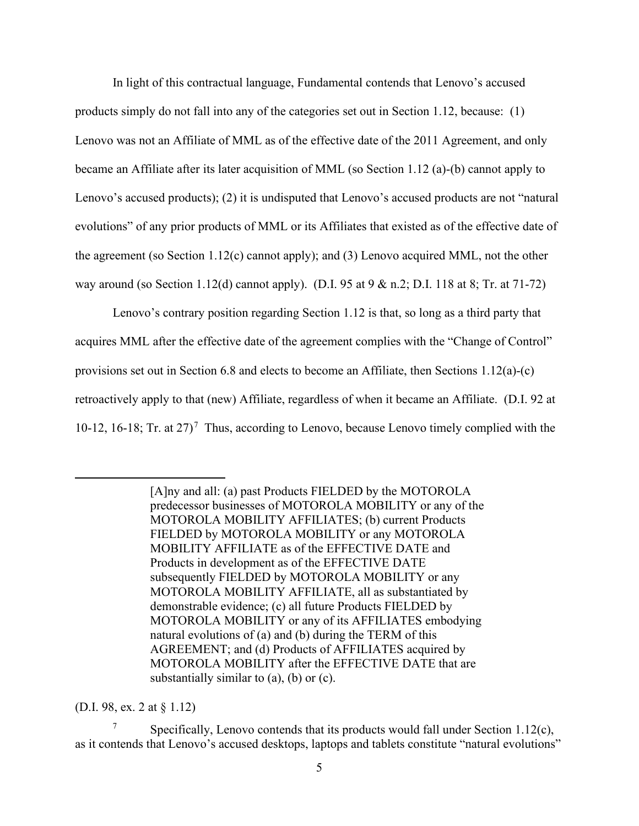In light of this contractual language, Fundamental contends that Lenovo's accused products simply do not fall into any of the categories set out in Section 1.12, because: (1) Lenovo was not an Affiliate of MML as of the effective date of the 2011 Agreement, and only became an Affiliate after its later acquisition of MML (so Section 1.12 (a)-(b) cannot apply to Lenovo's accused products); (2) it is undisputed that Lenovo's accused products are not "natural evolutions" of any prior products of MML or its Affiliates that existed as of the effective date of the agreement (so Section 1.12(c) cannot apply); and (3) Lenovo acquired MML, not the other way around (so Section 1.12(d) cannot apply). (D.I. 95 at 9 & n.2; D.I. 118 at 8; Tr. at 71-72)

Lenovo's contrary position regarding Section 1.12 is that, so long as a third party that acquires MML after the effective date of the agreement complies with the "Change of Control" provisions set out in Section 6.8 and elects to become an Affiliate, then Sections 1.12(a)-(c) retroactively apply to that (new) Affiliate, regardless of when it became an Affiliate. (D.I. 92 at 10-12, 16-18; Tr. at  $27$ <sup>7</sup> Thus, according to Lenovo, because Lenovo timely complied with the

> [A]ny and all: (a) past Products FIELDED by the MOTOROLA predecessor businesses of MOTOROLA MOBILITY or any of the MOTOROLA MOBILITY AFFILIATES; (b) current Products FIELDED by MOTOROLA MOBILITY or any MOTOROLA MOBILITY AFFILIATE as of the EFFECTIVE DATE and Products in development as of the EFFECTIVE DATE subsequently FIELDED by MOTOROLA MOBILITY or any MOTOROLA MOBILITY AFFILIATE, all as substantiated by demonstrable evidence; (c) all future Products FIELDED by MOTOROLA MOBILITY or any of its AFFILIATES embodying natural evolutions of (a) and (b) during the TERM of this AGREEMENT; and (d) Products of AFFILIATES acquired by MOTOROLA MOBILITY after the EFFECTIVE DATE that are substantially similar to  $(a)$ ,  $(b)$  or  $(c)$ .

(D.I. 98, ex. 2 at § 1.12)

Specifically, Lenovo contends that its products would fall under Section 1.12 $(c)$ , as it contends that Lenovo's accused desktops, laptops and tablets constitute "natural evolutions"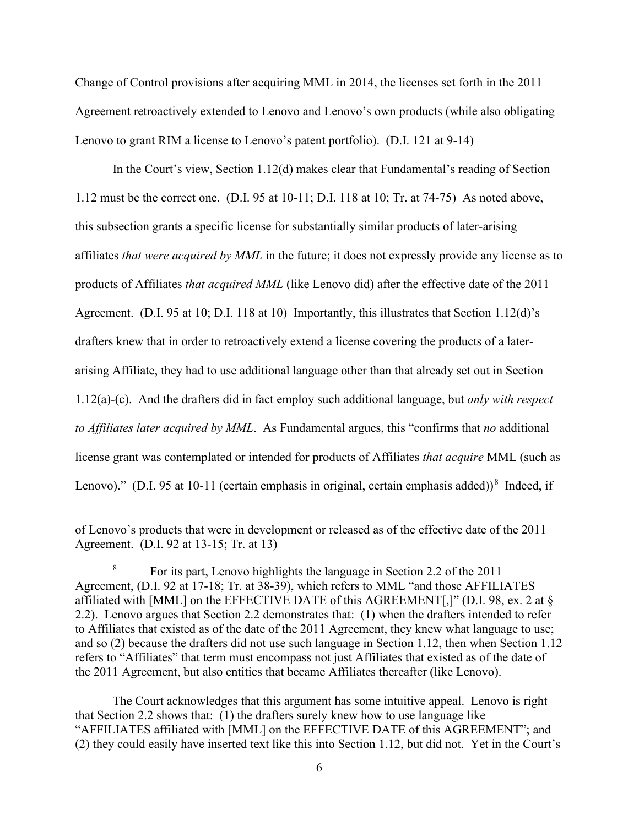Change of Control provisions after acquiring MML in 2014, the licenses set forth in the 2011 Agreement retroactively extended to Lenovo and Lenovo's own products (while also obligating Lenovo to grant RIM a license to Lenovo's patent portfolio). (D.I. 121 at 9-14)

In the Court's view, Section 1.12(d) makes clear that Fundamental's reading of Section 1.12 must be the correct one. (D.I. 95 at 10-11; D.I. 118 at 10; Tr. at 74-75) As noted above, this subsection grants a specific license for substantially similar products of later-arising affiliates *that were acquired by MML* in the future; it does not expressly provide any license as to products of Affiliates *that acquired MML* (like Lenovo did) after the effective date of the 2011 Agreement. (D.I. 95 at 10; D.I. 118 at 10) Importantly, this illustrates that Section 1.12(d)'s drafters knew that in order to retroactively extend a license covering the products of a laterarising Affiliate, they had to use additional language other than that already set out in Section 1.12(a)-(c). And the drafters did in fact employ such additional language, but *only with respect to Affiliates later acquired by MML*. As Fundamental argues, this "confirms that *no* additional license grant was contemplated or intended for products of Affiliates *that acquire* MML (such as Lenovo)." (D.I. 95 at 10-11 (certain emphasis in original, certain emphasis added))<sup>8</sup> Indeed, if

The Court acknowledges that this argument has some intuitive appeal. Lenovo is right that Section 2.2 shows that: (1) the drafters surely knew how to use language like "AFFILIATES affiliated with [MML] on the EFFECTIVE DATE of this AGREEMENT"; and (2) they could easily have inserted text like this into Section 1.12, but did not. Yet in the Court's

of Lenovo's products that were in development or released as of the effective date of the 2011 Agreement. (D.I. 92 at 13-15; Tr. at 13)

<sup>8</sup> For its part, Lenovo highlights the language in Section 2.2 of the 2011 Agreement, (D.I. 92 at 17-18; Tr. at 38-39), which refers to MML "and those AFFILIATES affiliated with [MML] on the EFFECTIVE DATE of this AGREEMENT[,]" (D.I. 98, ex. 2 at § 2.2). Lenovo argues that Section 2.2 demonstrates that: (1) when the drafters intended to refer to Affiliates that existed as of the date of the 2011 Agreement, they knew what language to use; and so (2) because the drafters did not use such language in Section 1.12, then when Section 1.12 refers to "Affiliates" that term must encompass not just Affiliates that existed as of the date of the 2011 Agreement, but also entities that became Affiliates thereafter (like Lenovo).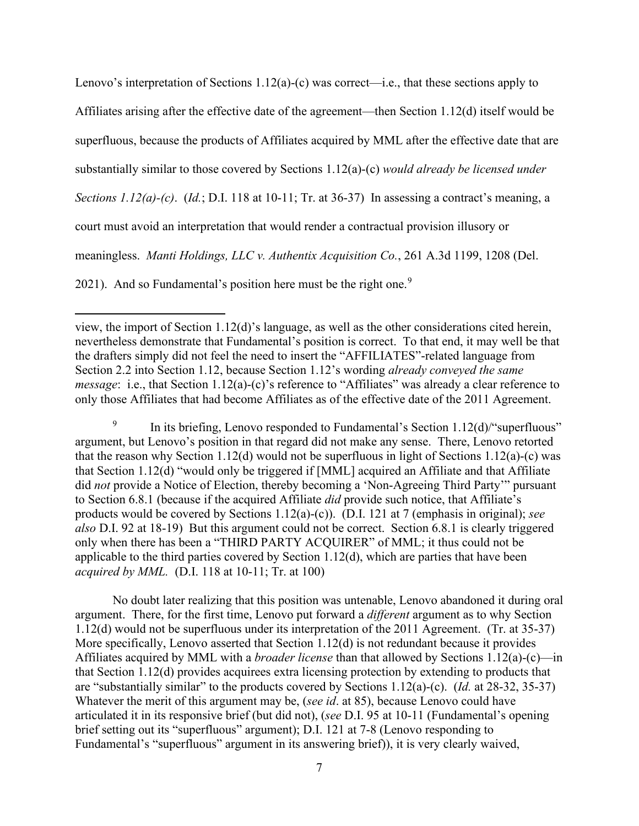Lenovo's interpretation of Sections 1.12(a)-(c) was correct—i.e., that these sections apply to Affiliates arising after the effective date of the agreement—then Section 1.12(d) itself would be superfluous, because the products of Affiliates acquired by MML after the effective date that are substantially similar to those covered by Sections 1.12(a)-(c) *would already be licensed under Sections 1.12(a)-(c)*. (*Id.*; D.I. 118 at 10-11; Tr. at 36-37) In assessing a contract's meaning, a court must avoid an interpretation that would render a contractual provision illusory or meaningless. *Manti Holdings, LLC v. Authentix Acquisition Co.*, 261 A.3d 1199, 1208 (Del. 2021). And so Fundamental's position here must be the right one.<sup>9</sup>

<sup>9</sup> In its briefing, Lenovo responded to Fundamental's Section  $1.12(d)$  superfluous" argument, but Lenovo's position in that regard did not make any sense. There, Lenovo retorted that the reason why Section 1.12(d) would not be superfluous in light of Sections 1.12(a)-(c) was that Section 1.12(d) "would only be triggered if [MML] acquired an Affiliate and that Affiliate did *not* provide a Notice of Election, thereby becoming a 'Non-Agreeing Third Party'" pursuant to Section 6.8.1 (because if the acquired Affiliate *did* provide such notice, that Affiliate's products would be covered by Sections 1.12(a)-(c)). (D.I. 121 at 7 (emphasis in original); *see also* D.I. 92 at 18-19) But this argument could not be correct. Section 6.8.1 is clearly triggered only when there has been a "THIRD PARTY ACQUIRER" of MML; it thus could not be applicable to the third parties covered by Section 1.12(d), which are parties that have been *acquired by MML.* (D.I. 118 at 10-11; Tr. at 100)

No doubt later realizing that this position was untenable, Lenovo abandoned it during oral argument. There, for the first time, Lenovo put forward a *different* argument as to why Section 1.12(d) would not be superfluous under its interpretation of the 2011 Agreement. (Tr. at 35-37) More specifically, Lenovo asserted that Section 1.12(d) is not redundant because it provides Affiliates acquired by MML with a *broader license* than that allowed by Sections 1.12(a)-(c)—in that Section 1.12(d) provides acquirees extra licensing protection by extending to products that are "substantially similar" to the products covered by Sections 1.12(a)-(c). (*Id.* at 28-32, 35-37) Whatever the merit of this argument may be, (*see id*. at 85), because Lenovo could have articulated it in its responsive brief (but did not), (*see* D.I. 95 at 10-11 (Fundamental's opening brief setting out its "superfluous" argument); D.I. 121 at 7-8 (Lenovo responding to Fundamental's "superfluous" argument in its answering brief)), it is very clearly waived,

view, the import of Section 1.12(d)'s language, as well as the other considerations cited herein, nevertheless demonstrate that Fundamental's position is correct. To that end, it may well be that the drafters simply did not feel the need to insert the "AFFILIATES"-related language from Section 2.2 into Section 1.12, because Section 1.12's wording *already conveyed the same message*: i.e., that Section 1.12(a)-(c)'s reference to "Affiliates" was already a clear reference to only those Affiliates that had become Affiliates as of the effective date of the 2011 Agreement.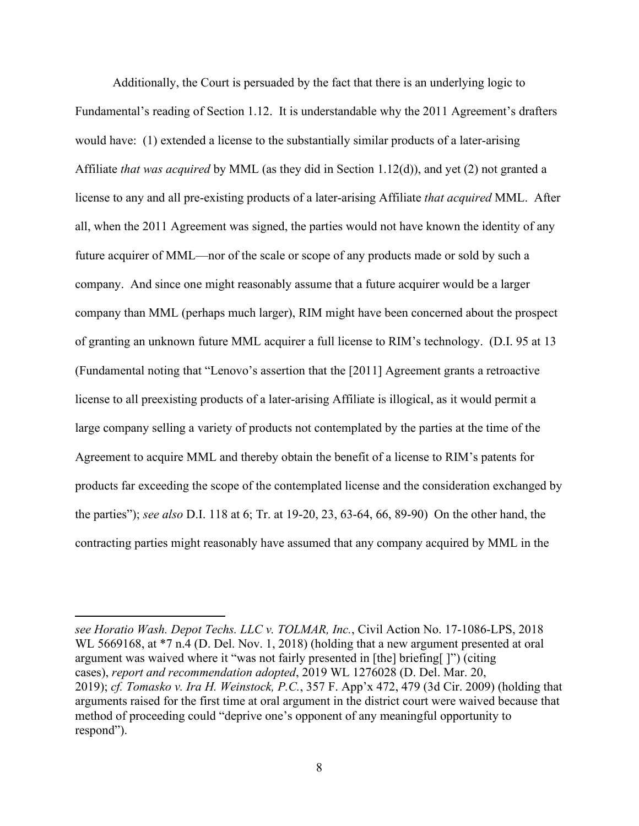Additionally, the Court is persuaded by the fact that there is an underlying logic to Fundamental's reading of Section 1.12. It is understandable why the 2011 Agreement's drafters would have: (1) extended a license to the substantially similar products of a later-arising Affiliate *that was acquired* by MML (as they did in Section 1.12(d)), and yet (2) not granted a license to any and all pre-existing products of a later-arising Affiliate *that acquired* MML. After all, when the 2011 Agreement was signed, the parties would not have known the identity of any future acquirer of MML—nor of the scale or scope of any products made or sold by such a company. And since one might reasonably assume that a future acquirer would be a larger company than MML (perhaps much larger), RIM might have been concerned about the prospect of granting an unknown future MML acquirer a full license to RIM's technology. (D.I. 95 at 13 (Fundamental noting that "Lenovo's assertion that the [2011] Agreement grants a retroactive license to all preexisting products of a later-arising Affiliate is illogical, as it would permit a large company selling a variety of products not contemplated by the parties at the time of the Agreement to acquire MML and thereby obtain the benefit of a license to RIM's patents for products far exceeding the scope of the contemplated license and the consideration exchanged by the parties"); *see also* D.I. 118 at 6; Tr. at 19-20, 23, 63-64, 66, 89-90) On the other hand, the contracting parties might reasonably have assumed that any company acquired by MML in the

*see Horatio Wash. Depot Techs. LLC v. TOLMAR, Inc.*, Civil Action No. 17-1086-LPS, 2018 WL 5669168, at  $*7$  n.4 (D. Del. Nov. 1, 2018) (holding that a new argument presented at oral argument was waived where it "was not fairly presented in [the] briefing[ ]") (citing cases), *report and recommendation adopted*, 2019 WL 1276028 (D. Del. Mar. 20, 2019); *cf. Tomasko v. Ira H. Weinstock, P.C.*, 357 F. App'x 472, 479 (3d Cir. 2009) (holding that arguments raised for the first time at oral argument in the district court were waived because that method of proceeding could "deprive one's opponent of any meaningful opportunity to respond").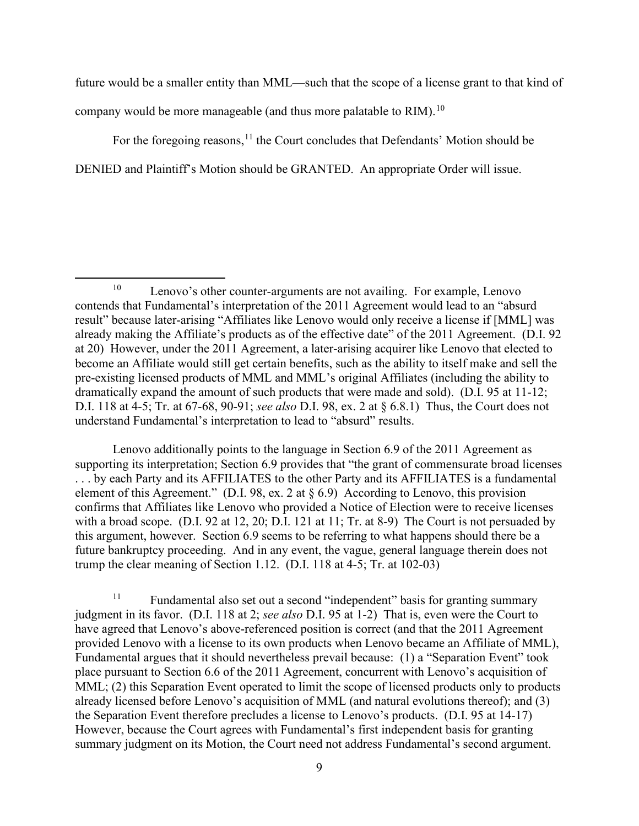future would be a smaller entity than MML—such that the scope of a license grant to that kind of company would be more manageable (and thus more palatable to RIM).  $^{10}$ 

For the foregoing reasons,  $<sup>11</sup>$  the Court concludes that Defendants' Motion should be</sup> DENIED and Plaintiff's Motion should be GRANTED. An appropriate Order will issue.

Lenovo additionally points to the language in Section 6.9 of the 2011 Agreement as supporting its interpretation; Section 6.9 provides that "the grant of commensurate broad licenses" . . . by each Party and its AFFILIATES to the other Party and its AFFILIATES is a fundamental element of this Agreement." (D.I. 98, ex. 2 at § 6.9) According to Lenovo, this provision confirms that Affiliates like Lenovo who provided a Notice of Election were to receive licenses with a broad scope. (D.I. 92 at 12, 20; D.I. 121 at 11; Tr. at 8-9) The Court is not persuaded by this argument, however. Section 6.9 seems to be referring to what happens should there be a future bankruptcy proceeding. And in any event, the vague, general language therein does not trump the clear meaning of Section 1.12. (D.I. 118 at 4-5; Tr. at 102-03)

<sup>11</sup> Fundamental also set out a second "independent" basis for granting summary judgment in its favor. (D.I. 118 at 2; *see also* D.I. 95 at 1-2) That is, even were the Court to have agreed that Lenovo's above-referenced position is correct (and that the 2011 Agreement provided Lenovo with a license to its own products when Lenovo became an Affiliate of MML), Fundamental argues that it should nevertheless prevail because: (1) a "Separation Event" took place pursuant to Section 6.6 of the 2011 Agreement, concurrent with Lenovo's acquisition of MML; (2) this Separation Event operated to limit the scope of licensed products only to products already licensed before Lenovo's acquisition of MML (and natural evolutions thereof); and (3) the Separation Event therefore precludes a license to Lenovo's products. (D.I. 95 at 14-17) However, because the Court agrees with Fundamental's first independent basis for granting summary judgment on its Motion, the Court need not address Fundamental's second argument.

<sup>&</sup>lt;sup>10</sup> Lenovo's other counter-arguments are not availing. For example, Lenovo contends that Fundamental's interpretation of the 2011 Agreement would lead to an "absurd result" because later-arising "Affiliates like Lenovo would only receive a license if [MML] was already making the Affiliate's products as of the effective date" of the 2011 Agreement. (D.I. 92 at 20) However, under the 2011 Agreement, a later-arising acquirer like Lenovo that elected to become an Affiliate would still get certain benefits, such as the ability to itself make and sell the pre-existing licensed products of MML and MML's original Affiliates (including the ability to dramatically expand the amount of such products that were made and sold). (D.I. 95 at 11-12; D.I. 118 at 4-5; Tr. at 67-68, 90-91; *see also* D.I. 98, ex. 2 at § 6.8.1) Thus, the Court does not understand Fundamental's interpretation to lead to "absurd" results.